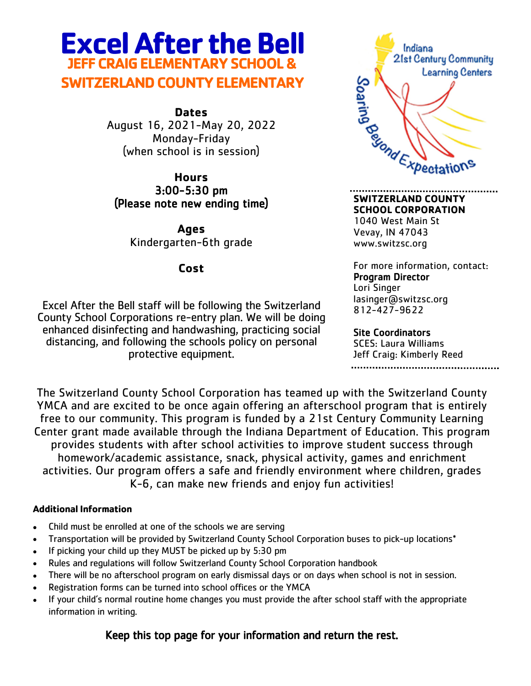## **Excel After the Bell JEFF CRAIG ELEMENTARY SCHOOL & SWITZERLAND COUNTY ELEMENTARY**

**Dates** August 16, 2021-May 20, 2022 Monday-Friday (when school is in session)

**Hours** 3:00-5:30 pm (Please note new ending time)

**Ages** Kindergarten-6th grade

**Cost**

Excel After the Bell staff will be following the Switzerland County School Corporations re-entry plan. We will be doing enhanced disinfecting and handwashing, practicing social distancing, and following the schools policy on personal protective equipment.



**SWITZERLAND COUNTY SCHOOL CORPORATION** 1040 West Main St Vevay, IN 47043 www.switzsc.org

For more information, contact: Program Director Lori Singer lasinger@switzsc.org 812-427-9622

Site Coordinators SCES: Laura Williams Jeff Craig: Kimberly Reed 

The Switzerland County School Corporation has teamed up with the Switzerland County YMCA and are excited to be once again offering an afterschool program that is entirely free to our community. This program is funded by a 21st Century Community Learning Center grant made available through the Indiana Department of Education. This program provides students with after school activities to improve student success through homework/academic assistance, snack, physical activity, games and enrichment activities. Our program offers a safe and friendly environment where children, grades K-6, can make new friends and enjoy fun activities!

#### **Additional Information**

- Child must be enrolled at one of the schools we are serving
- Transportation will be provided by Switzerland County School Corporation buses to pick-up locations\*
- If picking your child up they MUST be picked up by 5:30 pm
- Rules and regulations will follow Switzerland County School Corporation handbook
- There will be no afterschool program on early dismissal days or on days when school is not in session.
- Registration forms can be turned into school offices or the YMCA
- If your child's normal routine home changes you must provide the after school staff with the appropriate information in writing.

### Keep this top page for your information and return the rest.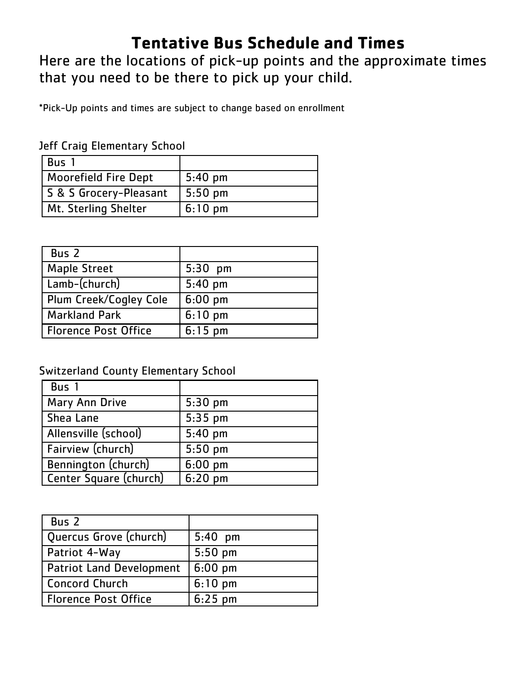## **Tentative Bus Schedule and Times**

Here are the locations of pick-up points and the approximate times that you need to be there to pick up your child.

\*Pick-Up points and times are subject to change based on enrollment

|  |  | Jeff Craig Elementary School |  |
|--|--|------------------------------|--|
|--|--|------------------------------|--|

| Bus                         |                   |
|-----------------------------|-------------------|
| <b>Moorefield Fire Dept</b> | $5:40$ pm         |
| S & S Grocery-Pleasant      | $5:50$ pm         |
| Mt. Sterling Shelter        | $6:10 \text{ pm}$ |

| Bus 2                       |           |
|-----------------------------|-----------|
| <b>Maple Street</b>         | $5:30$ pm |
| Lamb-(church)               | $5:40$ pm |
| Plum Creek/Cogley Cole      | $6:00$ pm |
| <b>Markland Park</b>        | $6:10$ pm |
| <b>Florence Post Office</b> | $6:15$ pm |

### Switzerland County Elementary School

| Bus 1                  |           |
|------------------------|-----------|
| <b>Mary Ann Drive</b>  | $5:30$ pm |
| Shea Lane              | $5:35$ pm |
| Allensville (school)   | $5:40$ pm |
| Fairview (church)      | $5:50$ pm |
| Bennington (church)    | $6:00$ pm |
| Center Square (church) | $6:20$ pm |

| Bus 2                           |           |
|---------------------------------|-----------|
| Quercus Grove (church)          | $5:40$ pm |
| Patriot 4-Way                   | $5:50$ pm |
| <b>Patriot Land Development</b> | $6:00$ pm |
| <b>Concord Church</b>           | $6:10$ pm |
| <b>Florence Post Office</b>     | $6:25$ pm |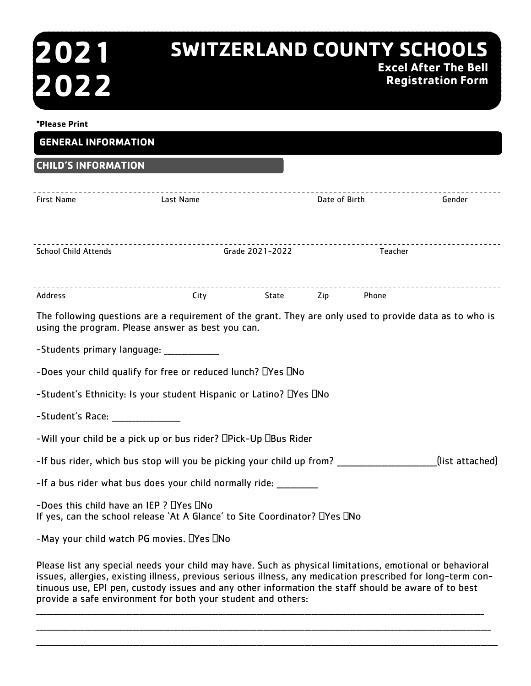# **2021 2022**

## **SWITZERLAND COUNTY SCHOOLS Excel After The Bell Registration Form**

| *Please Print                                                                                                                     |                                                                                                                                                              |                 |               |         |                          |
|-----------------------------------------------------------------------------------------------------------------------------------|--------------------------------------------------------------------------------------------------------------------------------------------------------------|-----------------|---------------|---------|--------------------------|
| <b>GENERAL INFORMATION</b>                                                                                                        |                                                                                                                                                              |                 |               |         |                          |
| <b>CHILD'S INFORMATION</b>                                                                                                        |                                                                                                                                                              |                 |               |         |                          |
| <b>First Name</b>                                                                                                                 | Last Name                                                                                                                                                    |                 | Date of Birth |         | Gender                   |
| <b>School Child Attends</b>                                                                                                       |                                                                                                                                                              | Grade 2021-2022 |               | Teacher | ------------------------ |
| <b>Address</b>                                                                                                                    | City State Zip Phone                                                                                                                                         |                 |               |         |                          |
|                                                                                                                                   | The following questions are a requirement of the grant. They are only used to provide data as to who is<br>using the program. Please answer as best you can. |                 |               |         |                          |
| -Students primary language: ____________                                                                                          |                                                                                                                                                              |                 |               |         |                          |
|                                                                                                                                   | -Does your child qualify for free or reduced lunch? $\square$ Yes $\square$ No                                                                               |                 |               |         |                          |
|                                                                                                                                   | -Student's Ethnicity: Is your student Hispanic or Latino? DYes DNo                                                                                           |                 |               |         |                          |
| -Student's Race: _______________                                                                                                  |                                                                                                                                                              |                 |               |         |                          |
| -Will your child be a pick up or bus rider? DPick-Up DBus Rider                                                                   |                                                                                                                                                              |                 |               |         |                          |
| (list attached)<br>-If bus rider, which bus stop will you be picking your child up from?                                          |                                                                                                                                                              |                 |               |         |                          |
| -If a bus rider what bus does your child normally ride:                                                                           |                                                                                                                                                              |                 |               |         |                          |
| -Does this child have an IEP ? $\Box$ Yes $\Box$ No<br>If yes, can the school release `At A Glance' to Site Coordinator? DYes DNo |                                                                                                                                                              |                 |               |         |                          |
| -May your child watch PG movies. DYes DNo                                                                                         |                                                                                                                                                              |                 |               |         |                          |
| Please list any special needs your child may have. Such as physical limitations, emotional or behavioral                          |                                                                                                                                                              |                 |               |         |                          |

issues, allergies, existing illness, previous serious illness, any medication prescribed for long-term continuous use, EPI pen, custody issues and any other information the staff should be aware of to best provide a safe environment for both your student and others: \_\_\_\_\_\_\_\_\_\_\_\_\_\_\_\_\_\_\_\_\_\_\_\_\_\_\_\_\_\_\_\_\_\_\_\_\_\_\_\_\_\_\_\_\_\_\_\_\_\_\_\_\_\_\_\_\_\_\_\_\_\_\_\_\_\_\_\_\_\_\_\_\_\_\_\_\_\_\_\_\_\_\_\_\_\_\_\_\_\_\_\_\_\_\_\_\_\_\_\_\_\_\_\_\_\_\_\_\_\_\_\_\_\_\_\_\_\_\_\_\_\_\_\_\_\_\_\_\_\_

\_\_\_\_\_\_\_\_\_\_\_\_\_\_\_\_\_\_\_\_\_\_\_\_\_\_\_\_\_\_\_\_\_\_\_\_\_\_\_\_\_\_\_\_\_\_\_\_\_\_\_\_\_\_\_\_\_\_\_\_\_\_\_\_\_\_\_\_\_\_\_\_\_\_\_\_\_\_\_\_\_\_\_\_\_\_\_\_\_\_\_\_\_\_\_\_\_\_\_\_\_\_\_\_\_\_\_\_\_\_\_\_\_\_\_\_\_\_\_\_\_\_\_\_\_\_\_\_\_\_\_\_ \_\_\_\_\_\_\_\_\_\_\_\_\_\_\_\_\_\_\_\_\_\_\_\_\_\_\_\_\_\_\_\_\_\_\_\_\_\_\_\_\_\_\_\_\_\_\_\_\_\_\_\_\_\_\_\_\_\_\_\_\_\_\_\_\_\_\_\_\_\_\_\_\_\_\_\_\_\_\_\_\_\_\_\_\_\_\_\_\_\_\_\_\_\_\_\_\_\_\_\_\_\_\_\_\_\_\_\_\_\_\_\_\_\_\_\_\_\_\_\_\_\_\_\_\_\_\_\_\_\_\_\_\_\_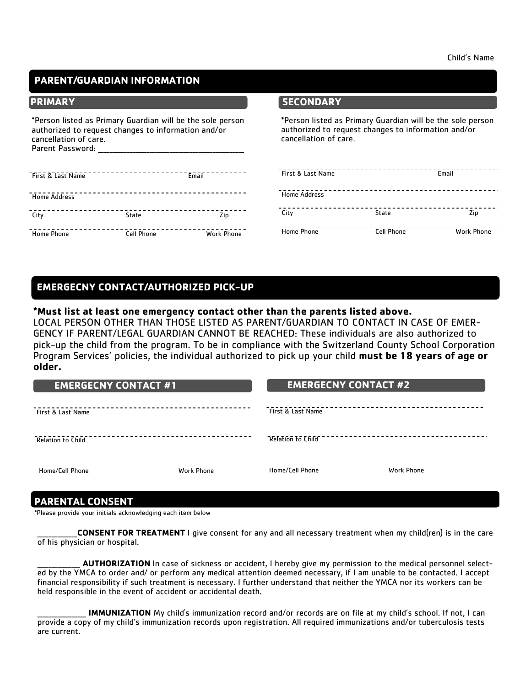#### **PARENT/GUARDIAN INFORMATION**

\*Person listed as Primary Guardian will be the sole person authorized to request changes to information and/or cancellation of care. Parent Password:

| First & Last Name   |                   | Email             |
|---------------------|-------------------|-------------------|
| <b>Home Address</b> |                   |                   |
| City                | State             | Zip               |
| <b>Home Phone</b>   | <b>Cell Phone</b> | <b>Work Phone</b> |

#### **PRIMARY SECONDARY**

\*Person listed as Primary Guardian will be the sole person authorized to request changes to information and/or cancellation of care.

| First & Last Name   |                   | Email             |
|---------------------|-------------------|-------------------|
| <b>Home Address</b> |                   |                   |
| City                | State             | Zip               |
| <b>Home Phone</b>   | <b>Cell Phone</b> | <b>Work Phone</b> |

#### **EMERGECNY CONTACT/AUTHORIZED PICK-UP**

#### **\*Must list at least one emergency contact other than the parents listed above.**

LOCAL PERSON OTHER THAN THOSE LISTED AS PARENT/GUARDIAN TO CONTACT IN CASE OF EMER-GENCY IF PARENT/LEGAL GUARDIAN CANNOT BE REACHED: These individuals are also authorized to pick-up the child from the program. To be in compliance with the Switzerland County School Corporation Program Services' policies, the individual authorized to pick up your child **must be 18 years of age or older.** 

| <b>EMERGECNY CONTACT #1</b> |                   | <b>EMERGECNY CONTACT #2</b> |            |
|-----------------------------|-------------------|-----------------------------|------------|
| First & Last Name           |                   | First & Last Name           |            |
| <b>Relation to Child</b>    |                   | <b>Relation to Child</b>    |            |
| Home/Cell Phone             | <b>Work Phone</b> | Home/Cell Phone             | Work Phone |

#### **PARENTAL CONSENT**

\*Please provide your initials acknowledging each item below

\_\_\_\_\_\_\_\_\_\_\_\_\_\_**CONSENT FOR TREATMENT** I give consent for any and all necessary treatment when my child(ren) is in the care of his physician or hospital.

AUTHORIZATION In case of sickness or accident, I hereby give my permission to the medical personnel selected by the YMCA to order and/ or perform any medical attention deemed necessary, if I am unable to be contacted. I accept financial responsibility if such treatment is necessary. I further understand that neither the YMCA nor its workers can be held responsible in the event of accident or accidental death.

**IMMUNIZATION** My child's immunization record and/or records are on file at my child's school. If not, I can provide a copy of my child's immunization records upon registration. All required immunizations and/or tuberculosis tests are current.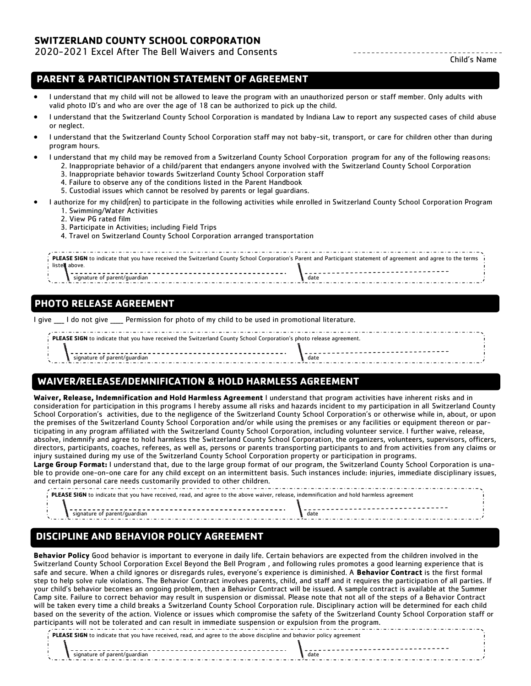#### **SWITZERLAND COUNTY SCHOOL CORPORATION**

#### 2020-2021 Excel After The Bell Waivers and Consents

Child's Name

#### **PARENT & PARTICIPANTION STATEMENT OF AGREEMENT**

- I understand that my child will not be allowed to leave the program with an unauthorized person or staff member. Only adults with valid photo ID's and who are over the age of 18 can be authorized to pick up the child.
- I understand that the Switzerland County School Corporation is mandated by Indiana Law to report any suspected cases of child abuse or neglect.
- I understand that the Switzerland County School Corporation staff may not baby-sit, transport, or care for children other than during program hours.
- I understand that my child may be removed from a Switzerland County School Corporation program for any of the following reasons: 2. Inappropriate behavior of a child/parent that endangers anyone involved with the Switzerland County School Corporation
	- 3. Inappropriate behavior towards Switzerland County School Corporation staff
	- 4. Failure to observe any of the conditions listed in the Parent Handbook
	- 5. Custodial issues which cannot be resolved by parents or legal guardians.
- I authorize for my child(ren) to participate in the following activities while enrolled in Switzerland County School Corporation Program
	- 1. Swimming/Water Activities
	- 2. View PG rated film
	- 3. Participate in Activities; including Field Trips
	- 4. Travel on Switzerland County School Corporation arranged transportation

| <b>PLEASE SIGN</b> to indicate that vou have received the Switzerland County School Corporation's Parent and Participant statement of agreement and agree to the terms |      |  |  |  |
|------------------------------------------------------------------------------------------------------------------------------------------------------------------------|------|--|--|--|
|                                                                                                                                                                        |      |  |  |  |
| signatur                                                                                                                                                               | date |  |  |  |

#### **PHOTO RELEASE AGREEMENT**

I give \_\_\_\_ I do not give \_\_\_\_\_ Permission for photo of my child to be used in promotional literature.

| <b>PLEASE SIGN</b> to indicate that you have received the Switzerland County School Corporation's photo release agreement. |      |  |  |  |
|----------------------------------------------------------------------------------------------------------------------------|------|--|--|--|
|                                                                                                                            |      |  |  |  |
| signature of                                                                                                               | date |  |  |  |

#### **WAIVER/RELEASE/IDEMNIFICATION & HOLD HARMLESS AGREEMENT**

**Waiver, Release, Indemnification and Hold Harmless Agreement** I understand that program activities have inherent risks and in consideration for participation in this programs I hereby assume all risks and hazards incident to my participation in all Switzerland County School Corporation's activities, due to the negligence of the Switzerland County School Corporation's or otherwise while in, about, or upon the premises of the Switzerland County School Corporation and/or while using the premises or any facilities or equipment thereon or participating in any program affiliated with the Switzerland County School Corporation, including volunteer service. I further waive, release, absolve, indemnify and agree to hold harmless the Switzerland County School Corporation, the organizers, volunteers, supervisors, officers, directors, participants, coaches, referees, as well as, persons or parents transporting participants to and from activities from any claims or injury sustained during my use of the Switzerland County School Corporation property or participation in programs.

**Large Group Format:** I understand that, due to the large group format of our program, the Switzerland County School Corporation is unable to provide one-on-one care for any child except on an intermittent basis. Such instances include: injuries, immediate disciplinary issues, and certain personal care needs customarily provided to other children.

| <b>PLEASE SIGN</b> to indicate that you have received, read, and agree to the above waiver, release, indemnification and hold harmless agreement |                              |      |  |  |
|--------------------------------------------------------------------------------------------------------------------------------------------------|------------------------------|------|--|--|
|                                                                                                                                                  |                              |      |  |  |
|                                                                                                                                                  | signature of parent/guardian | date |  |  |
|                                                                                                                                                  |                              |      |  |  |

#### **DISCIPLINE AND BEHAVIOR POLICY AGREEMENT**

**Behavior Policy** Good behavior is important to everyone in daily life. Certain behaviors are expected from the children involved in the Switzerland County School Corporation Excel Beyond the Bell Program , and following rules promotes a good learning experience that is safe and secure. When a child ignores or disregards rules, everyone's experience is diminished. A **Behavior Contract** is the first formal step to help solve rule violations. The Behavior Contract involves parents, child, and staff and it requires the participation of all parties. If your child's behavior becomes an ongoing problem, then a Behavior Contract will be issued. A sample contract is available at the Summer Camp site. Failure to correct behavior may result in suspension or dismissal. Please note that not all of the steps of a Behavior Contract will be taken every time a child breaks a Switzerland County School Corporation rule. Disciplinary action will be determined for each child based on the severity of the action. Violence or issues which compromise the safety of the Switzerland County School Corporation staff or participants will not be tolerated and can result in immediate suspension or expulsion from the program.

**PLEASE SIGN** to indicate that you have received, read, and agree to the above discipline and behavior policy agreement

signature of parent/guardian date and a signature of parent/guardian date date date date date date and a signature of  $\sim$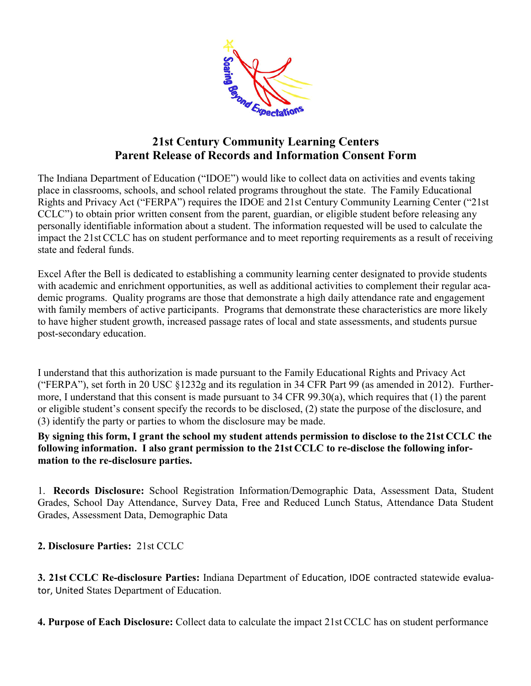

### **21st Century Community Learning Centers Parent Release of Records and Information Consent Form**

The Indiana Department of Education ("IDOE") would like to collect data on activities and events taking place in classrooms, schools, and school related programs throughout the state. The Family Educational Rights and Privacy Act ("FERPA") requires the IDOE and 21st Century Community Learning Center ("21st CCLC") to obtain prior written consent from the parent, guardian, or eligible student before releasing any personally identifiable information about a student. The information requested will be used to calculate the impact the 21stCCLC has on student performance and to meet reporting requirements as a result of receiving state and federal funds.

Excel After the Bell is dedicated to establishing a community learning center designated to provide students with academic and enrichment opportunities, as well as additional activities to complement their regular academic programs. Quality programs are those that demonstrate a high daily attendance rate and engagement with family members of active participants. Programs that demonstrate these characteristics are more likely to have higher student growth, increased passage rates of local and state assessments, and students pursue post-secondary education.

I understand that this authorization is made pursuant to the Family Educational Rights and Privacy Act ("FERPA"), set forth in 20 USC §1232g and its regulation in 34 CFR Part 99 (as amended in 2012). Furthermore, I understand that this consent is made pursuant to 34 CFR 99.30(a), which requires that (1) the parent or eligible student's consent specify the records to be disclosed, (2) state the purpose of the disclosure, and (3) identify the party or parties to whom the disclosure may be made.

**By signing this form, I grant the school my student attends permission to disclose to the 21st CCLC the following information. I also grant permission to the 21st CCLC to re-disclose the following information to the re-disclosure parties.** 

1. **Records Disclosure:** School Registration Information/Demographic Data, Assessment Data, Student Grades, School Day Attendance, Survey Data, Free and Reduced Lunch Status, Attendance Data Student Grades, Assessment Data, Demographic Data

**2. Disclosure Parties:** 21st CCLC

**3. 21st CCLC Re-disclosure Parties:** Indiana Department of Education, IDOE contracted statewide evaluator, United States Department of Education.

**4. Purpose of Each Disclosure:** Collect data to calculate the impact 21st CCLC has on student performance